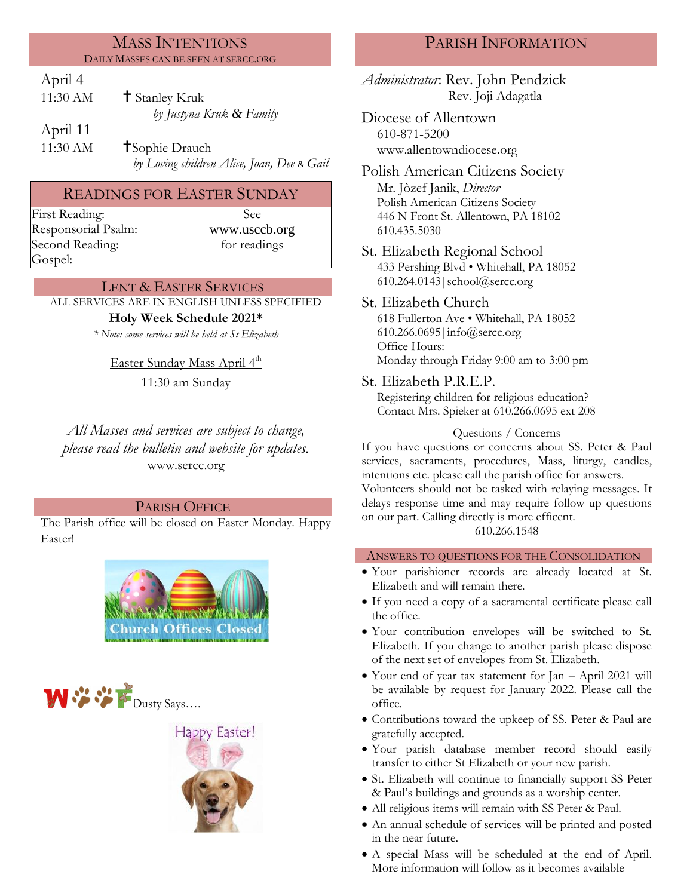#### MASS INTENTIONS DAILY MASSES CAN BE SEEN AT SERCC.ORG

### April 4

| 11:30 AM | <sup>†</sup> Stanley Kruk |
|----------|---------------------------|
|          | by Justyna Kruk & Family  |
| April 11 |                           |

11:30 AM **T**Sophie Drauch *by Loving children Alice, Joan, Dee* & *Gail*

# READINGS FOR EASTER SUNDAY

First Reading: See Responsorial Psalm: Second Reading: Gospel:

www.usccb.org for readings

#### LENT & EASTER SERVICES

ALL SERVICES ARE IN ENGLISH UNLESS SPECIFIED

## **Holy Week Schedule 2021\***

*\* Note: some services will be held at St Elizabeth*

<u>Easter Sunday Mass April 4<sup>th</sup></u>

11:30 am Sunday

*All Masses and services are subject to change, please read the bulletin and website for updates.* www.sercc.org

## PARISH OFFICE

The Parish office will be closed on Easter Monday. Happy Easter!







# PARISH INFORMATION

*Administrator*: Rev. John Pendzick Rev. Joji Adagatla

Diocese of Allentown 610-871-5200 www.allentowndiocese.org

Polish American Citizens Society Mr. Jòzef Janik, *Director* Polish American Citizens Society 446 N Front St. Allentown, PA 18102 610.435.5030

St. Elizabeth Regional School 433 Pershing Blvd • Whitehall, PA 18052 610.264.0143|school@sercc.org

St. Elizabeth Church 618 Fullerton Ave • Whitehall, PA 18052 610.266.0695|info@sercc.org Office Hours: Monday through Friday 9:00 am to 3:00 pm

St. Elizabeth P.R.E.P.

Registering children for religious education? Contact Mrs. Spieker at 610.266.0695 ext 208

## Questions / Concerns

If you have questions or concerns about SS. Peter & Paul services, sacraments, procedures, Mass, liturgy, candles, intentions etc. please call the parish office for answers.

Volunteers should not be tasked with relaying messages. It delays response time and may require follow up questions on our part. Calling directly is more efficent.

610.266.1548

## ANSWERS TO QUESTIONS FOR THE CONSOLIDATION

- Your parishioner records are already located at St. Elizabeth and will remain there.
- If you need a copy of a sacramental certificate please call the office.
- Your contribution envelopes will be switched to St. Elizabeth. If you change to another parish please dispose of the next set of envelopes from St. Elizabeth.
- Your end of year tax statement for Jan April 2021 will be available by request for January 2022. Please call the office.
- Contributions toward the upkeep of SS. Peter & Paul are gratefully accepted.
- Your parish database member record should easily transfer to either St Elizabeth or your new parish.
- St. Elizabeth will continue to financially support SS Peter & Paul's buildings and grounds as a worship center.
- All religious items will remain with SS Peter & Paul.
- An annual schedule of services will be printed and posted in the near future.
- A special Mass will be scheduled at the end of April. More information will follow as it becomes available